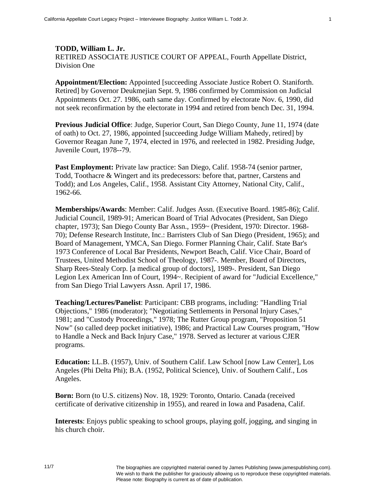**TODD, William L. Jr.**  RETIRED ASSOCIATE JUSTICE COURT OF APPEAL, Fourth Appellate District, Division One

**Appointment/Election:** Appointed [succeeding Associate Justice Robert O. Staniforth. Retired] by Governor Deukmejian Sept. 9, 1986 confirmed by Commission on Judicial Appointments Oct. 27. 1986, oath same day. Confirmed by electorate Nov. 6, 1990, did not seek reconfirmation by the electorate in 1994 and retired from bench Dec. 31, 1994.

**Previous Judicial Office**: Judge, Superior Court, San Diego County, June 11, 1974 (date of oath) to Oct. 27, 1986, appointed [succeeding Judge William Mahedy, retired] by Governor Reagan June 7, 1974, elected in 1976, and reelected in 1982. Presiding Judge, Juvenile Court, 1978--79.

**Past Employment:** Private law practice: San Diego, Calif. 1958-74 (senior partner, Todd, Toothacre & Wingert and its predecessors: before that, partner, Carstens and Todd); and Los Angeles, Calif., 1958. Assistant City Attorney, National City, Calif., 1962-66.

**Memberships/Awards**: Member: Calif. Judges Assn. (Executive Board. 1985-86); Calif. Judicial Council, 1989-91; American Board of Trial Advocates (President, San Diego chapter, 1973); San Diego County Bar Assn., 1959~ (President, 1970: Director. 1968- 70); Defense Research Institute, Inc.: Barristers Club of San Diego (President, 1965); and Board of Management, YMCA, San Diego. Former Planning Chair, Calif. State Bar's 1973 Conference of Local Bar Presidents, Newport Beach, Calif. Vice Chair, Board of Trustees, United Methodist School of Theology, 1987-. Member, Board of Directors, Sharp Rees-Stealy Corp. [a medical group of doctors], 1989-. President, San Diego Legion Lex American Inn of Court, 1994~. Recipient of award for "Judicial Excellence," from San Diego Trial Lawyers Assn. April 17, 1986.

**Teaching/Lectures/Panelist**: Participant: CBB programs, including: "Handling Trial Objections," 1986 (moderator); "Negotiating Settlements in Personal Injury Cases," 1981; and "Custody Proceedings," 1978; The Rutter Group program, "Proposition 51 Now" (so called deep pocket initiative), 1986; and Practical Law Courses program, "How to Handle a Neck and Back Injury Case," 1978. Served as lecturer at various CJER programs.

**Education:** LL.B. (1957), Univ. of Southern Calif. Law School [now Law Center], Los Angeles (Phi Delta Phi); B.A. (1952, Political Science), Univ. of Southern Calif., Los Angeles.

**Born:** Born (to U.S. citizens) Nov. 18, 1929: Toronto, Ontario. Canada (received certificate of derivative citizenship in 1955), and reared in Iowa and Pasadena, Calif.

**Interests**: Enjoys public speaking to school groups, playing golf, jogging, and singing in his church choir.